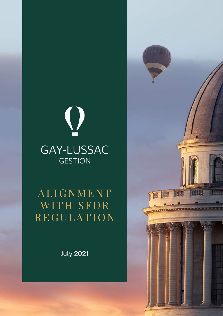## $\bigcirc$ **GAY-LUSSAC GESTION**

## **ALIGNMENT** WITH SFDR **REGULATION**

July 2021

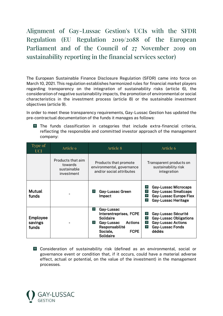Alignment of Gay-Lussac Gestion's UCIs with the SFDR Regulation (EU Regulation 2019/2088 of the European Parliament and of the Council of 27 November 2019 on sustainability reporting in the financial services sector)

The European Sustainable Finance Disclosure Regulation (SFDR) came into force on March 10, 2021. This regulation establishes harmonized rules for financial market players regarding transparency on the integration of sustainability risks (article 6), the consideration of negative sustainability impacts, the promotion of environmental or social characteristics in the investment process (article 8) or the sustainable investment objectives (article 9).

In order to meet these transparency requirements, Gay-Lussac Gestion has updated the pre-contractual documentation of the funds it manages as follows:

**The funds classification in categories that include extra-financial criteria,** reflecting the responsible and committed investor approach of the management company:

| Type of<br><b>UCI</b>        | Article 9                                                 | <b>Article 8</b>                                                                                                                                                                          | Article 6                                                                                                                                                                                       |
|------------------------------|-----------------------------------------------------------|-------------------------------------------------------------------------------------------------------------------------------------------------------------------------------------------|-------------------------------------------------------------------------------------------------------------------------------------------------------------------------------------------------|
|                              | Products that aim<br>towards<br>sustainable<br>investment | Products that promote<br>environmental, governance<br>and/or social attributes                                                                                                            | Transparent products on<br>sustainability risk<br>integration                                                                                                                                   |
| <b>Mutual</b><br>funds       |                                                           | Gay-Lussac Green<br>$\mathbf{Q}$<br>Impact                                                                                                                                                | <b>Gay-Lussac Microcaps</b><br>$ 0\rangle$<br>$\overline{\mathbf{Q}}$<br><b>Gay-Lussac Smallcaps</b><br>$\vert \mathbf{Q} \vert$<br><b>Gay-Lussac Europe Flex</b><br> Q <br>Gay-Lussac Heritage |
| Employee<br>savings<br>funds |                                                           | $\mathbf{Q}$<br>Gay-Lussac<br>Interentreprises, FCPE<br><b>Solidaire</b><br>Gay-Lussac<br>Actions<br>$\ddot{\mathbf{Q}}$<br>Responsabilité<br><b>FCPE</b><br>Sociale,<br><b>Solidaire</b> | $ 0\rangle$<br>Gay-Lussac Sécurité<br> Q <br><b>Gay-Lussac Obligations</b><br>$\vert \mathbf{Q} \vert$<br><b>Gay-Lussac Actions</b><br>$\dot{\mathbf{Q}}$<br><b>Gay-Lussac Fonds</b><br>dédiés  |

**Q** Consideration of sustainability risk (defined as an environmental, social or governance event or condition that, if it occurs, could have a material adverse effect, actual or potential, on the value of the investment) in the management processes.

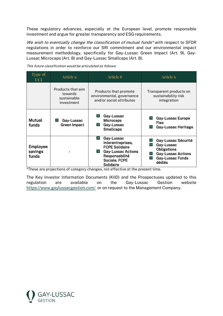These regulatory advances, especially at the European level, promote responsible investment and argue for greater transparency and ESG requirements.

We wish to eventually change the classification of mutual funds\* with respect to SFDR regulations in order to reinforce our SRI commitment and our environmental impact measurement methodology, specifically for Gay-Lussac Green Impact (Art. 9), Gay-Lussac Microcaps (Art. 8) and Gay-Lussac Smallcaps (Art. 8).

| Type of<br>UCI                      | Article 9                                                 | <b>Article 8</b>                                                                                                                                           | Article 6                                                                                                                                                     |
|-------------------------------------|-----------------------------------------------------------|------------------------------------------------------------------------------------------------------------------------------------------------------------|---------------------------------------------------------------------------------------------------------------------------------------------------------------|
|                                     | Products that aim<br>towards<br>sustainable<br>investment | Products that promote<br>environmental, governance<br>and/or social attributes                                                                             | Transparent products on<br>sustainability risk<br>integration                                                                                                 |
| <b>Mutual</b><br>funds              | Gay-Lussac<br><b>Q</b><br><b>Green Impact</b>             | Q <br>Gay-Lussac<br><b>Microcaps</b><br>$\dot{\mathbf{Q}}$<br>Gay-Lussac<br><b>Smallcaps</b>                                                               | Gay-Lussac Europe<br><b>Flex</b><br>$\Omega$<br>Gay-Lussac Heritage                                                                                           |
| <b>Employee</b><br>savings<br>funds |                                                           | Gay-Lussac<br> Q <br>Interentreprises,<br><b>FCPE Solidaire</b><br><b>Gay-Lussac Actions</b><br> Q <br>Responsabilité<br>Sociale, FCPE<br><b>Solidaire</b> | Gay-Lussac Sécurité<br>$ 0\rangle$<br> Q <br>Gay-Lussac<br><b>Obligations</b><br><b>Gay-Lussac Actions</b><br> Q <br> Q <br><b>Gay-Lussac Fonds</b><br>dédiés |

This future classification would be articulated as follows:

\*These are projections of category changes, not effective at the present time.

The Key Investor Information Documents (KIID) and the Prospectuses updated to this regulation are available on the Gay-Lussac Gestion website <https://www.gaylussacgestion.com/>or on request to the Management Company.